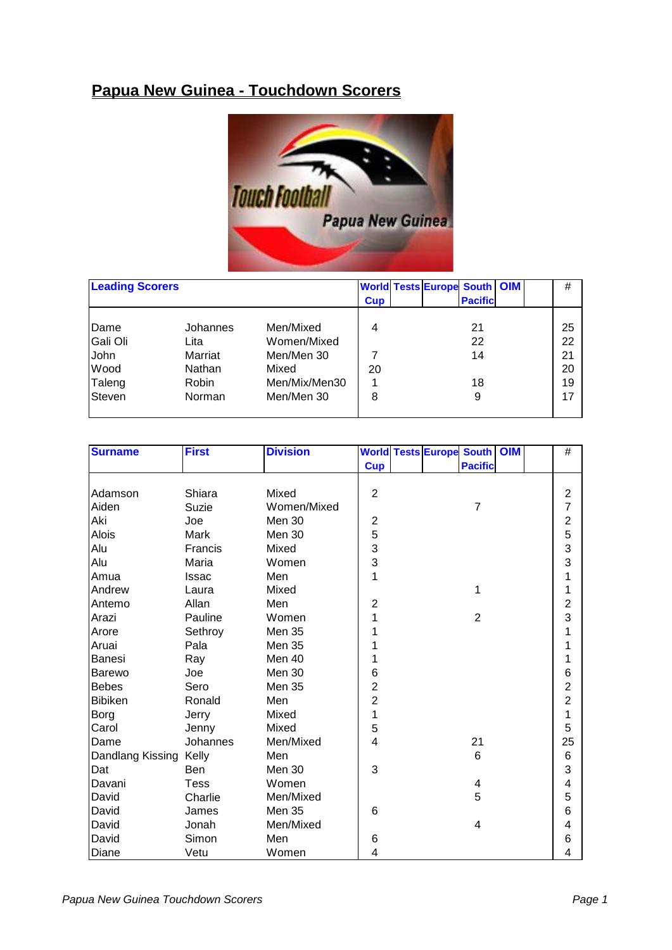## **Papua New Guinea - Touchdown Scorers**



| <b>Leading Scorers</b> |              |               | <b>Cup</b> | <b>World Tests Europe South OIM</b><br><b>Pacificl</b> | #  |
|------------------------|--------------|---------------|------------|--------------------------------------------------------|----|
| Dame                   | Johannes     | Men/Mixed     | 4          | 21                                                     | 25 |
| Gali Oli               | Lita         | Women/Mixed   |            | 22                                                     | 22 |
| John                   | Marriat      | Men/Men 30    |            | 14                                                     | 21 |
| Wood                   | Nathan       | Mixed         | 20         |                                                        | 20 |
| Taleng                 | <b>Robin</b> | Men/Mix/Men30 |            | 18                                                     | 19 |
| <b>Steven</b>          | Norman       | Men/Men 30    | 8          | 9                                                      | 17 |
|                        |              |               |            |                                                        |    |

| <b>Surname</b>   | <b>First</b> | <b>Division</b> |                         | <b>World Tests Europe South</b> |                | <b>OIM</b> | $\#$                    |
|------------------|--------------|-----------------|-------------------------|---------------------------------|----------------|------------|-------------------------|
|                  |              |                 | <b>Cup</b>              |                                 | <b>Pacific</b> |            |                         |
|                  |              |                 |                         |                                 |                |            |                         |
| Adamson          | Shiara       | Mixed           | $\overline{2}$          |                                 |                |            | $\overline{2}$          |
| Aiden            | <b>Suzie</b> | Women/Mixed     |                         |                                 | $\overline{7}$ |            | 7                       |
| Aki              | Joe          | Men 30          | $\overline{c}$          |                                 |                |            | $\overline{c}$          |
| <b>Alois</b>     | Mark         | Men 30          | 5                       |                                 |                |            | 5                       |
| Alu              | Francis      | Mixed           | 3                       |                                 |                |            | 3                       |
| Alu              | Maria        | Women           | 3                       |                                 |                |            | 3                       |
| Amua             | <b>Issac</b> | Men             | 1                       |                                 |                |            | 1                       |
| Andrew           | Laura        | Mixed           |                         |                                 | 1              |            | 1                       |
| Antemo           | Allan        | Men             | $\overline{c}$          |                                 |                |            | $\overline{c}$          |
| Arazi            | Pauline      | Women           | 1                       |                                 | $\overline{2}$ |            | 3                       |
| Arore            | Sethroy      | <b>Men 35</b>   | 1                       |                                 |                |            | 1                       |
| Aruai            | Pala         | <b>Men 35</b>   | 1                       |                                 |                |            | 1                       |
| <b>Banesi</b>    | Ray          | Men 40          | 1                       |                                 |                |            | 1                       |
| <b>Barewo</b>    | Joe          | Men 30          | 6                       |                                 |                |            | $6\phantom{1}6$         |
| <b>Bebes</b>     | Sero         | <b>Men 35</b>   | $\overline{\mathbf{c}}$ |                                 |                |            | $\overline{2}$          |
| Bibiken          | Ronald       | Men             | $\overline{c}$          |                                 |                |            | $\overline{2}$          |
| Borg             | Jerry        | Mixed           | 1                       |                                 |                |            | 1                       |
| Carol            | Jenny        | Mixed           | 5                       |                                 |                |            | 5                       |
| Dame             | Johannes     | Men/Mixed       | 4                       |                                 | 21             |            | 25                      |
| Dandlang Kissing | Kelly        | Men             |                         |                                 | 6              |            | $6\phantom{1}6$         |
| Dat              | Ben          | Men 30          | 3                       |                                 |                |            | 3                       |
| Davani           | <b>Tess</b>  | Women           |                         |                                 | 4              |            | $\overline{\mathbf{4}}$ |
| David            | Charlie      | Men/Mixed       |                         |                                 | 5              |            | 5                       |
| David            | James        | <b>Men 35</b>   | $6\phantom{1}6$         |                                 |                |            | $6\phantom{1}6$         |
| David            | Jonah        | Men/Mixed       |                         |                                 | 4              |            | 4                       |
| David            | Simon        | Men             | 6                       |                                 |                |            | $6\phantom{1}6$         |
| Diane            | Vetu         | Women           | 4                       |                                 |                |            | 4                       |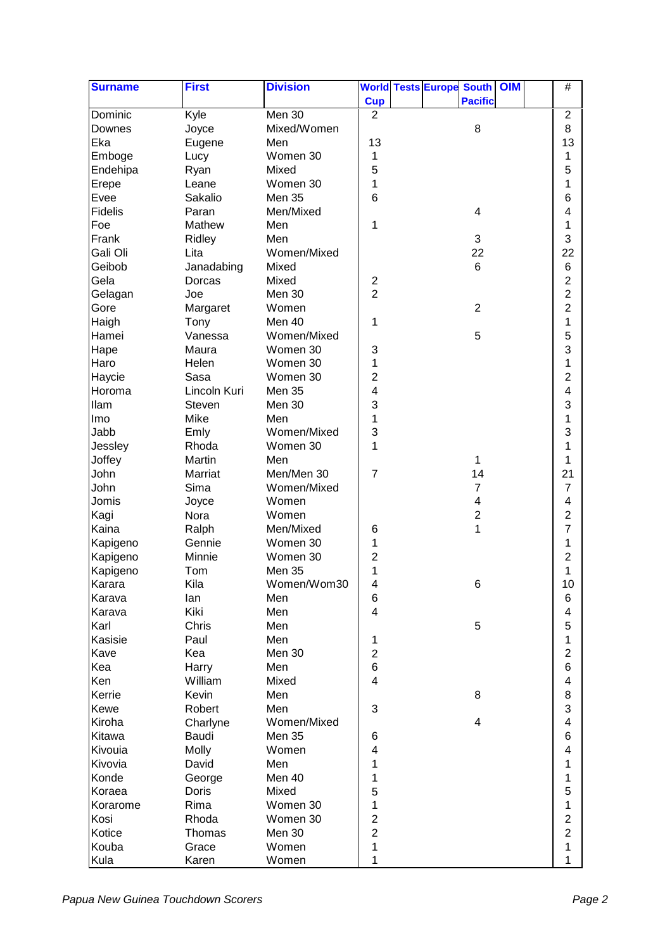| <b>Surname</b> | <b>First</b> | <b>Division</b> |                         | <b>World Tests Europe South</b> |                | <b>OIM</b> | $\#$                    |  |
|----------------|--------------|-----------------|-------------------------|---------------------------------|----------------|------------|-------------------------|--|
|                |              |                 | <b>Cup</b>              |                                 | <b>Pacific</b> |            |                         |  |
| Dominic        | Kyle         | Men 30          | $\overline{2}$          |                                 |                |            | $\overline{2}$          |  |
| Downes         | Joyce        | Mixed/Women     |                         |                                 | 8              |            | 8                       |  |
| Eka            | Eugene       | Men             | 13                      |                                 |                |            | 13                      |  |
| Emboge         | Lucy         | Women 30        | 1                       |                                 |                |            | 1                       |  |
| Endehipa       | Ryan         | Mixed           | 5                       |                                 |                |            | 5                       |  |
| Erepe          | Leane        | Women 30        | 1                       |                                 |                |            | 1                       |  |
| Evee           | Sakalio      | Men 35          | 6                       |                                 |                |            | 6                       |  |
| <b>Fidelis</b> | Paran        | Men/Mixed       |                         |                                 | 4              |            | 4                       |  |
| Foe            | Mathew       | Men             | 1                       |                                 |                |            | 1                       |  |
| Frank          | Ridley       | Men             |                         |                                 | 3              |            | 3                       |  |
| Gali Oli       | Lita         | Women/Mixed     |                         |                                 | 22             |            | 22                      |  |
| Geibob         | Janadabing   | Mixed           |                         |                                 | 6              |            | $6\phantom{1}6$         |  |
| Gela           | Dorcas       | Mixed           | $\overline{\mathbf{c}}$ |                                 |                |            | $\overline{c}$          |  |
| Gelagan        | Joe          | Men 30          | $\overline{2}$          |                                 |                |            | $\overline{2}$          |  |
| Gore           | Margaret     | Women           |                         |                                 | $\overline{2}$ |            | $\overline{2}$          |  |
| Haigh          | Tony         | Men 40          | 1                       |                                 |                |            | 1                       |  |
| Hamei          | Vanessa      | Women/Mixed     |                         |                                 | 5              |            | 5                       |  |
| Hape           | Maura        | Women 30        | 3                       |                                 |                |            | 3                       |  |
| Haro           | Helen        | Women 30        | 1                       |                                 |                |            | 1                       |  |
| Haycie         | Sasa         | Women 30        | $\overline{2}$          |                                 |                |            | $\overline{2}$          |  |
| Horoma         | Lincoln Kuri | Men 35          | 4                       |                                 |                |            | 4                       |  |
| llam           | Steven       | Men 30          | 3                       |                                 |                |            | 3                       |  |
| Imo            | Mike         | Men             | 1                       |                                 |                |            | 1                       |  |
|                |              |                 | 3                       |                                 |                |            | 3                       |  |
| Jabb           | Emly         | Women/Mixed     | 1                       |                                 |                |            | 1                       |  |
| Jessley        | Rhoda        | Women 30        |                         |                                 |                |            |                         |  |
| Joffey         | Martin       | Men             |                         |                                 | 1              |            | 1                       |  |
| John           | Marriat      | Men/Men 30      | $\overline{7}$          |                                 | 14             |            | 21                      |  |
| John           | Sima         | Women/Mixed     |                         |                                 | $\overline{7}$ |            | $\overline{7}$          |  |
| Jomis          | Joyce        | Women           |                         |                                 | 4              |            | 4                       |  |
| Kagi           | Nora         | Women           |                         |                                 | $\overline{c}$ |            | 2                       |  |
| Kaina          | Ralph        | Men/Mixed       | 6                       |                                 | 1              |            | 7                       |  |
| Kapigeno       | Gennie       | Women 30        | 1                       |                                 |                |            | 1                       |  |
| Kapigeno       | Minnie       | Women 30        | $\overline{2}$          |                                 |                |            | $\overline{2}$          |  |
| Kapigeno       | Tom          | <b>Men 35</b>   | 1                       |                                 |                |            | 1                       |  |
| Karara         | Kila         | Women/Wom30     | 4                       |                                 | 6              |            | 10                      |  |
| Karava         | lan          | Men             | 6                       |                                 |                |            | 6                       |  |
| Karava         | Kiki         | Men             | $\overline{4}$          |                                 |                |            | 4                       |  |
| Karl           | Chris        | Men             |                         |                                 | 5              |            | 5                       |  |
| Kasisie        | Paul         | Men             | 1                       |                                 |                |            | 1                       |  |
| Kave           | Kea          | Men 30          | $\overline{c}$          |                                 |                |            | $\overline{c}$          |  |
| Kea            | Harry        | Men             | $\,6$                   |                                 |                |            | $6\phantom{1}6$         |  |
| Ken            | William      | Mixed           | $\overline{4}$          |                                 |                |            | $\overline{\mathbf{4}}$ |  |
| Kerrie         | Kevin        | Men             |                         |                                 | 8              |            | 8                       |  |
| Kewe           | Robert       | Men             | 3                       |                                 |                |            | 3                       |  |
| Kiroha         | Charlyne     | Women/Mixed     |                         |                                 | 4              |            | $\overline{\mathbf{4}}$ |  |
| Kitawa         | Baudi        | <b>Men 35</b>   | 6                       |                                 |                |            | $6\phantom{1}6$         |  |
| Kivouia        | Molly        | Women           | 4                       |                                 |                |            | $\overline{4}$          |  |
| Kivovia        | David        | Men             | 1                       |                                 |                |            | 1                       |  |
| Konde          | George       | Men 40          | 1                       |                                 |                |            | 1                       |  |
| Koraea         | Doris        | Mixed           | 5                       |                                 |                |            | 5                       |  |
| Korarome       | Rima         | Women 30        | 1                       |                                 |                |            | 1                       |  |
| Kosi           | Rhoda        | Women 30        | $\overline{c}$          |                                 |                |            | $\overline{2}$          |  |
| Kotice         | Thomas       | Men 30          | $\overline{c}$          |                                 |                |            | $\overline{c}$          |  |
| Kouba          | Grace        | Women           | 1                       |                                 |                |            | 1                       |  |
| Kula           | Karen        | Women           | 1                       |                                 |                |            | 1                       |  |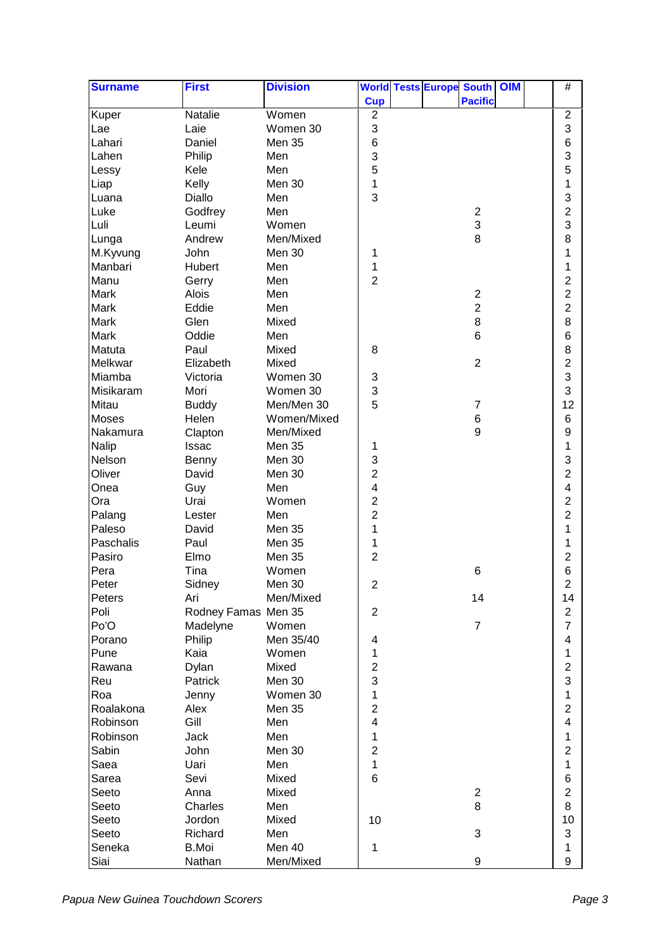| <b>Pacific</b><br><b>Cup</b><br>Kuper<br>$\boldsymbol{2}$<br>$\boldsymbol{2}$<br>Natalie<br>Women<br>3<br>3<br>Laie<br>Women 30<br>Lae<br>$\,$ 6 $\,$<br>$\,6$<br>Lahari<br>Daniel<br>Men 35<br>3<br>3<br>Lahen<br>Philip<br>Men<br>5<br>5<br>Lessy<br>Kele<br>Men<br>1<br>Liap<br>Kelly<br>Men 30<br>1<br>3<br>3<br>Luana<br>Diallo<br>Men<br>$\overline{c}$<br>Luke<br>Men<br>$\boldsymbol{2}$<br>Godfrey<br>3<br>3<br>Luli<br>Leumi<br>Women<br>8<br>8<br>Lunga<br>Men/Mixed<br>Andrew<br>M.Kyvung<br>Men 30<br>1<br>John<br>1<br>1<br>Manbari<br>Men<br>1<br>Hubert<br>Manu<br>$\overline{2}$<br>$\overline{c}$<br>Men<br>Gerry<br>$\overline{2}$<br>Mark<br>$\sqrt{2}$<br>Alois<br>Men<br>$\overline{c}$<br>$\overline{2}$<br><b>Mark</b><br>Eddie<br>Men<br>8<br>8<br>Mark<br>Glen<br>Mixed<br>$6\phantom{1}6$<br>$6\phantom{1}6$<br><b>Mark</b><br>Oddie<br>Men<br>8<br>Matuta<br>Mixed<br>8<br>Paul<br>$\overline{2}$<br>$\overline{2}$<br>Melkwar<br>Mixed<br>Elizabeth<br>3<br>$\ensuremath{\mathsf{3}}$<br>Miamba<br>Victoria<br>Women 30<br>3<br>3<br>Misikaram<br>Mori<br>Women 30<br>5<br>12<br>Mitau<br>Men/Men 30<br><b>Buddy</b><br>7<br>$\,6$<br>Helen<br>Women/Mixed<br>$6\phantom{1}6$<br><b>Moses</b><br>9<br>9<br>Nakamura<br>Men/Mixed<br>Clapton<br>1<br><b>Nalip</b><br>Issac<br>Men 35<br>1<br>3<br>3<br>Nelson<br>Men 30<br>Benny<br>$\overline{c}$<br>$\overline{2}$<br>David<br>Oliver<br>Men 30<br>4<br>$\overline{\mathbf{4}}$<br>Onea<br>Guy<br>Men<br>2<br>$\overline{2}$<br>Urai<br>Women<br>Ora<br>$\overline{c}$<br>$\overline{c}$<br>Palang<br>Men<br>Lester<br>Paleso<br><b>Men 35</b><br>1<br>1<br>David<br>Paschalis<br>1<br>Paul<br><b>Men 35</b><br>1<br>Pasiro<br>$\overline{c}$<br>$\overline{2}$<br>Elmo<br><b>Men 35</b><br>Pera<br>6<br>6<br>Tina<br>Women<br>$\overline{c}$<br>Peter<br>Sidney<br>$\overline{c}$<br>Men 30<br>Peters<br>14<br>14<br>Ari<br>Men/Mixed<br>Poli<br>Rodney Famas Men 35<br>$\overline{c}$<br>$\overline{\mathbf{c}}$<br>$\overline{7}$<br>$\overline{7}$<br>Po'O<br>Madelyne<br>Women<br>Philip<br>Porano<br>Men 35/40<br>4<br>4<br>Kaia<br>1<br>1<br>Pune<br>Women<br>$\overline{c}$<br>$\overline{\mathbf{c}}$<br>Mixed<br>Rawana<br>Dylan<br>3<br>3<br>Reu<br>Patrick<br>Men 30<br>1<br>1<br>Roa<br>Women 30<br>Jenny<br>$\overline{2}$<br>$\overline{c}$<br>Roalakona<br>Alex<br><b>Men 35</b><br>$\overline{\mathbf{4}}$<br>Gill<br>$\overline{\mathbf{4}}$<br>Men<br>Robinson<br>Robinson<br>Men<br>1<br>1<br>Jack<br>$\overline{2}$<br>$\overline{c}$<br>Sabin<br>Men 30<br>John<br>1<br>Saea<br>Uari<br>Men<br>1<br>$\,6$<br>6<br>Sarea<br>Sevi<br>Mixed<br>$\overline{c}$<br>$\overline{c}$<br>Seeto<br>Anna<br>Mixed<br>8<br>8<br>Seeto<br>Charles<br>Men<br>Mixed<br>10<br>10<br>Seeto<br>Jordon<br>3<br>3<br>Seeto<br>Richard<br>Men<br>Men 40<br>Seneka<br><b>B.Moi</b><br>1<br>1 | <b>Surname</b> | <b>First</b> | <b>Division</b> |  | <b>World Tests Europe South OIM</b> |  | $\#$ |  |
|----------------------------------------------------------------------------------------------------------------------------------------------------------------------------------------------------------------------------------------------------------------------------------------------------------------------------------------------------------------------------------------------------------------------------------------------------------------------------------------------------------------------------------------------------------------------------------------------------------------------------------------------------------------------------------------------------------------------------------------------------------------------------------------------------------------------------------------------------------------------------------------------------------------------------------------------------------------------------------------------------------------------------------------------------------------------------------------------------------------------------------------------------------------------------------------------------------------------------------------------------------------------------------------------------------------------------------------------------------------------------------------------------------------------------------------------------------------------------------------------------------------------------------------------------------------------------------------------------------------------------------------------------------------------------------------------------------------------------------------------------------------------------------------------------------------------------------------------------------------------------------------------------------------------------------------------------------------------------------------------------------------------------------------------------------------------------------------------------------------------------------------------------------------------------------------------------------------------------------------------------------------------------------------------------------------------------------------------------------------------------------------------------------------------------------------------------------------------------------------------------------------------------------------------------------------------------------------------------------------------------------------------------------------------------------------------------------------------------------------------------------------------------------------------------------------------------------------------------------------------------|----------------|--------------|-----------------|--|-------------------------------------|--|------|--|
|                                                                                                                                                                                                                                                                                                                                                                                                                                                                                                                                                                                                                                                                                                                                                                                                                                                                                                                                                                                                                                                                                                                                                                                                                                                                                                                                                                                                                                                                                                                                                                                                                                                                                                                                                                                                                                                                                                                                                                                                                                                                                                                                                                                                                                                                                                                                                                                                                                                                                                                                                                                                                                                                                                                                                                                                                                                                            |                |              |                 |  |                                     |  |      |  |
|                                                                                                                                                                                                                                                                                                                                                                                                                                                                                                                                                                                                                                                                                                                                                                                                                                                                                                                                                                                                                                                                                                                                                                                                                                                                                                                                                                                                                                                                                                                                                                                                                                                                                                                                                                                                                                                                                                                                                                                                                                                                                                                                                                                                                                                                                                                                                                                                                                                                                                                                                                                                                                                                                                                                                                                                                                                                            |                |              |                 |  |                                     |  |      |  |
|                                                                                                                                                                                                                                                                                                                                                                                                                                                                                                                                                                                                                                                                                                                                                                                                                                                                                                                                                                                                                                                                                                                                                                                                                                                                                                                                                                                                                                                                                                                                                                                                                                                                                                                                                                                                                                                                                                                                                                                                                                                                                                                                                                                                                                                                                                                                                                                                                                                                                                                                                                                                                                                                                                                                                                                                                                                                            |                |              |                 |  |                                     |  |      |  |
|                                                                                                                                                                                                                                                                                                                                                                                                                                                                                                                                                                                                                                                                                                                                                                                                                                                                                                                                                                                                                                                                                                                                                                                                                                                                                                                                                                                                                                                                                                                                                                                                                                                                                                                                                                                                                                                                                                                                                                                                                                                                                                                                                                                                                                                                                                                                                                                                                                                                                                                                                                                                                                                                                                                                                                                                                                                                            |                |              |                 |  |                                     |  |      |  |
|                                                                                                                                                                                                                                                                                                                                                                                                                                                                                                                                                                                                                                                                                                                                                                                                                                                                                                                                                                                                                                                                                                                                                                                                                                                                                                                                                                                                                                                                                                                                                                                                                                                                                                                                                                                                                                                                                                                                                                                                                                                                                                                                                                                                                                                                                                                                                                                                                                                                                                                                                                                                                                                                                                                                                                                                                                                                            |                |              |                 |  |                                     |  |      |  |
|                                                                                                                                                                                                                                                                                                                                                                                                                                                                                                                                                                                                                                                                                                                                                                                                                                                                                                                                                                                                                                                                                                                                                                                                                                                                                                                                                                                                                                                                                                                                                                                                                                                                                                                                                                                                                                                                                                                                                                                                                                                                                                                                                                                                                                                                                                                                                                                                                                                                                                                                                                                                                                                                                                                                                                                                                                                                            |                |              |                 |  |                                     |  |      |  |
|                                                                                                                                                                                                                                                                                                                                                                                                                                                                                                                                                                                                                                                                                                                                                                                                                                                                                                                                                                                                                                                                                                                                                                                                                                                                                                                                                                                                                                                                                                                                                                                                                                                                                                                                                                                                                                                                                                                                                                                                                                                                                                                                                                                                                                                                                                                                                                                                                                                                                                                                                                                                                                                                                                                                                                                                                                                                            |                |              |                 |  |                                     |  |      |  |
|                                                                                                                                                                                                                                                                                                                                                                                                                                                                                                                                                                                                                                                                                                                                                                                                                                                                                                                                                                                                                                                                                                                                                                                                                                                                                                                                                                                                                                                                                                                                                                                                                                                                                                                                                                                                                                                                                                                                                                                                                                                                                                                                                                                                                                                                                                                                                                                                                                                                                                                                                                                                                                                                                                                                                                                                                                                                            |                |              |                 |  |                                     |  |      |  |
|                                                                                                                                                                                                                                                                                                                                                                                                                                                                                                                                                                                                                                                                                                                                                                                                                                                                                                                                                                                                                                                                                                                                                                                                                                                                                                                                                                                                                                                                                                                                                                                                                                                                                                                                                                                                                                                                                                                                                                                                                                                                                                                                                                                                                                                                                                                                                                                                                                                                                                                                                                                                                                                                                                                                                                                                                                                                            |                |              |                 |  |                                     |  |      |  |
|                                                                                                                                                                                                                                                                                                                                                                                                                                                                                                                                                                                                                                                                                                                                                                                                                                                                                                                                                                                                                                                                                                                                                                                                                                                                                                                                                                                                                                                                                                                                                                                                                                                                                                                                                                                                                                                                                                                                                                                                                                                                                                                                                                                                                                                                                                                                                                                                                                                                                                                                                                                                                                                                                                                                                                                                                                                                            |                |              |                 |  |                                     |  |      |  |
|                                                                                                                                                                                                                                                                                                                                                                                                                                                                                                                                                                                                                                                                                                                                                                                                                                                                                                                                                                                                                                                                                                                                                                                                                                                                                                                                                                                                                                                                                                                                                                                                                                                                                                                                                                                                                                                                                                                                                                                                                                                                                                                                                                                                                                                                                                                                                                                                                                                                                                                                                                                                                                                                                                                                                                                                                                                                            |                |              |                 |  |                                     |  |      |  |
|                                                                                                                                                                                                                                                                                                                                                                                                                                                                                                                                                                                                                                                                                                                                                                                                                                                                                                                                                                                                                                                                                                                                                                                                                                                                                                                                                                                                                                                                                                                                                                                                                                                                                                                                                                                                                                                                                                                                                                                                                                                                                                                                                                                                                                                                                                                                                                                                                                                                                                                                                                                                                                                                                                                                                                                                                                                                            |                |              |                 |  |                                     |  |      |  |
|                                                                                                                                                                                                                                                                                                                                                                                                                                                                                                                                                                                                                                                                                                                                                                                                                                                                                                                                                                                                                                                                                                                                                                                                                                                                                                                                                                                                                                                                                                                                                                                                                                                                                                                                                                                                                                                                                                                                                                                                                                                                                                                                                                                                                                                                                                                                                                                                                                                                                                                                                                                                                                                                                                                                                                                                                                                                            |                |              |                 |  |                                     |  |      |  |
|                                                                                                                                                                                                                                                                                                                                                                                                                                                                                                                                                                                                                                                                                                                                                                                                                                                                                                                                                                                                                                                                                                                                                                                                                                                                                                                                                                                                                                                                                                                                                                                                                                                                                                                                                                                                                                                                                                                                                                                                                                                                                                                                                                                                                                                                                                                                                                                                                                                                                                                                                                                                                                                                                                                                                                                                                                                                            |                |              |                 |  |                                     |  |      |  |
|                                                                                                                                                                                                                                                                                                                                                                                                                                                                                                                                                                                                                                                                                                                                                                                                                                                                                                                                                                                                                                                                                                                                                                                                                                                                                                                                                                                                                                                                                                                                                                                                                                                                                                                                                                                                                                                                                                                                                                                                                                                                                                                                                                                                                                                                                                                                                                                                                                                                                                                                                                                                                                                                                                                                                                                                                                                                            |                |              |                 |  |                                     |  |      |  |
|                                                                                                                                                                                                                                                                                                                                                                                                                                                                                                                                                                                                                                                                                                                                                                                                                                                                                                                                                                                                                                                                                                                                                                                                                                                                                                                                                                                                                                                                                                                                                                                                                                                                                                                                                                                                                                                                                                                                                                                                                                                                                                                                                                                                                                                                                                                                                                                                                                                                                                                                                                                                                                                                                                                                                                                                                                                                            |                |              |                 |  |                                     |  |      |  |
|                                                                                                                                                                                                                                                                                                                                                                                                                                                                                                                                                                                                                                                                                                                                                                                                                                                                                                                                                                                                                                                                                                                                                                                                                                                                                                                                                                                                                                                                                                                                                                                                                                                                                                                                                                                                                                                                                                                                                                                                                                                                                                                                                                                                                                                                                                                                                                                                                                                                                                                                                                                                                                                                                                                                                                                                                                                                            |                |              |                 |  |                                     |  |      |  |
|                                                                                                                                                                                                                                                                                                                                                                                                                                                                                                                                                                                                                                                                                                                                                                                                                                                                                                                                                                                                                                                                                                                                                                                                                                                                                                                                                                                                                                                                                                                                                                                                                                                                                                                                                                                                                                                                                                                                                                                                                                                                                                                                                                                                                                                                                                                                                                                                                                                                                                                                                                                                                                                                                                                                                                                                                                                                            |                |              |                 |  |                                     |  |      |  |
|                                                                                                                                                                                                                                                                                                                                                                                                                                                                                                                                                                                                                                                                                                                                                                                                                                                                                                                                                                                                                                                                                                                                                                                                                                                                                                                                                                                                                                                                                                                                                                                                                                                                                                                                                                                                                                                                                                                                                                                                                                                                                                                                                                                                                                                                                                                                                                                                                                                                                                                                                                                                                                                                                                                                                                                                                                                                            |                |              |                 |  |                                     |  |      |  |
|                                                                                                                                                                                                                                                                                                                                                                                                                                                                                                                                                                                                                                                                                                                                                                                                                                                                                                                                                                                                                                                                                                                                                                                                                                                                                                                                                                                                                                                                                                                                                                                                                                                                                                                                                                                                                                                                                                                                                                                                                                                                                                                                                                                                                                                                                                                                                                                                                                                                                                                                                                                                                                                                                                                                                                                                                                                                            |                |              |                 |  |                                     |  |      |  |
|                                                                                                                                                                                                                                                                                                                                                                                                                                                                                                                                                                                                                                                                                                                                                                                                                                                                                                                                                                                                                                                                                                                                                                                                                                                                                                                                                                                                                                                                                                                                                                                                                                                                                                                                                                                                                                                                                                                                                                                                                                                                                                                                                                                                                                                                                                                                                                                                                                                                                                                                                                                                                                                                                                                                                                                                                                                                            |                |              |                 |  |                                     |  |      |  |
|                                                                                                                                                                                                                                                                                                                                                                                                                                                                                                                                                                                                                                                                                                                                                                                                                                                                                                                                                                                                                                                                                                                                                                                                                                                                                                                                                                                                                                                                                                                                                                                                                                                                                                                                                                                                                                                                                                                                                                                                                                                                                                                                                                                                                                                                                                                                                                                                                                                                                                                                                                                                                                                                                                                                                                                                                                                                            |                |              |                 |  |                                     |  |      |  |
|                                                                                                                                                                                                                                                                                                                                                                                                                                                                                                                                                                                                                                                                                                                                                                                                                                                                                                                                                                                                                                                                                                                                                                                                                                                                                                                                                                                                                                                                                                                                                                                                                                                                                                                                                                                                                                                                                                                                                                                                                                                                                                                                                                                                                                                                                                                                                                                                                                                                                                                                                                                                                                                                                                                                                                                                                                                                            |                |              |                 |  |                                     |  |      |  |
|                                                                                                                                                                                                                                                                                                                                                                                                                                                                                                                                                                                                                                                                                                                                                                                                                                                                                                                                                                                                                                                                                                                                                                                                                                                                                                                                                                                                                                                                                                                                                                                                                                                                                                                                                                                                                                                                                                                                                                                                                                                                                                                                                                                                                                                                                                                                                                                                                                                                                                                                                                                                                                                                                                                                                                                                                                                                            |                |              |                 |  |                                     |  |      |  |
|                                                                                                                                                                                                                                                                                                                                                                                                                                                                                                                                                                                                                                                                                                                                                                                                                                                                                                                                                                                                                                                                                                                                                                                                                                                                                                                                                                                                                                                                                                                                                                                                                                                                                                                                                                                                                                                                                                                                                                                                                                                                                                                                                                                                                                                                                                                                                                                                                                                                                                                                                                                                                                                                                                                                                                                                                                                                            |                |              |                 |  |                                     |  |      |  |
|                                                                                                                                                                                                                                                                                                                                                                                                                                                                                                                                                                                                                                                                                                                                                                                                                                                                                                                                                                                                                                                                                                                                                                                                                                                                                                                                                                                                                                                                                                                                                                                                                                                                                                                                                                                                                                                                                                                                                                                                                                                                                                                                                                                                                                                                                                                                                                                                                                                                                                                                                                                                                                                                                                                                                                                                                                                                            |                |              |                 |  |                                     |  |      |  |
|                                                                                                                                                                                                                                                                                                                                                                                                                                                                                                                                                                                                                                                                                                                                                                                                                                                                                                                                                                                                                                                                                                                                                                                                                                                                                                                                                                                                                                                                                                                                                                                                                                                                                                                                                                                                                                                                                                                                                                                                                                                                                                                                                                                                                                                                                                                                                                                                                                                                                                                                                                                                                                                                                                                                                                                                                                                                            |                |              |                 |  |                                     |  |      |  |
|                                                                                                                                                                                                                                                                                                                                                                                                                                                                                                                                                                                                                                                                                                                                                                                                                                                                                                                                                                                                                                                                                                                                                                                                                                                                                                                                                                                                                                                                                                                                                                                                                                                                                                                                                                                                                                                                                                                                                                                                                                                                                                                                                                                                                                                                                                                                                                                                                                                                                                                                                                                                                                                                                                                                                                                                                                                                            |                |              |                 |  |                                     |  |      |  |
|                                                                                                                                                                                                                                                                                                                                                                                                                                                                                                                                                                                                                                                                                                                                                                                                                                                                                                                                                                                                                                                                                                                                                                                                                                                                                                                                                                                                                                                                                                                                                                                                                                                                                                                                                                                                                                                                                                                                                                                                                                                                                                                                                                                                                                                                                                                                                                                                                                                                                                                                                                                                                                                                                                                                                                                                                                                                            |                |              |                 |  |                                     |  |      |  |
|                                                                                                                                                                                                                                                                                                                                                                                                                                                                                                                                                                                                                                                                                                                                                                                                                                                                                                                                                                                                                                                                                                                                                                                                                                                                                                                                                                                                                                                                                                                                                                                                                                                                                                                                                                                                                                                                                                                                                                                                                                                                                                                                                                                                                                                                                                                                                                                                                                                                                                                                                                                                                                                                                                                                                                                                                                                                            |                |              |                 |  |                                     |  |      |  |
|                                                                                                                                                                                                                                                                                                                                                                                                                                                                                                                                                                                                                                                                                                                                                                                                                                                                                                                                                                                                                                                                                                                                                                                                                                                                                                                                                                                                                                                                                                                                                                                                                                                                                                                                                                                                                                                                                                                                                                                                                                                                                                                                                                                                                                                                                                                                                                                                                                                                                                                                                                                                                                                                                                                                                                                                                                                                            |                |              |                 |  |                                     |  |      |  |
|                                                                                                                                                                                                                                                                                                                                                                                                                                                                                                                                                                                                                                                                                                                                                                                                                                                                                                                                                                                                                                                                                                                                                                                                                                                                                                                                                                                                                                                                                                                                                                                                                                                                                                                                                                                                                                                                                                                                                                                                                                                                                                                                                                                                                                                                                                                                                                                                                                                                                                                                                                                                                                                                                                                                                                                                                                                                            |                |              |                 |  |                                     |  |      |  |
|                                                                                                                                                                                                                                                                                                                                                                                                                                                                                                                                                                                                                                                                                                                                                                                                                                                                                                                                                                                                                                                                                                                                                                                                                                                                                                                                                                                                                                                                                                                                                                                                                                                                                                                                                                                                                                                                                                                                                                                                                                                                                                                                                                                                                                                                                                                                                                                                                                                                                                                                                                                                                                                                                                                                                                                                                                                                            |                |              |                 |  |                                     |  |      |  |
|                                                                                                                                                                                                                                                                                                                                                                                                                                                                                                                                                                                                                                                                                                                                                                                                                                                                                                                                                                                                                                                                                                                                                                                                                                                                                                                                                                                                                                                                                                                                                                                                                                                                                                                                                                                                                                                                                                                                                                                                                                                                                                                                                                                                                                                                                                                                                                                                                                                                                                                                                                                                                                                                                                                                                                                                                                                                            |                |              |                 |  |                                     |  |      |  |
|                                                                                                                                                                                                                                                                                                                                                                                                                                                                                                                                                                                                                                                                                                                                                                                                                                                                                                                                                                                                                                                                                                                                                                                                                                                                                                                                                                                                                                                                                                                                                                                                                                                                                                                                                                                                                                                                                                                                                                                                                                                                                                                                                                                                                                                                                                                                                                                                                                                                                                                                                                                                                                                                                                                                                                                                                                                                            |                |              |                 |  |                                     |  |      |  |
|                                                                                                                                                                                                                                                                                                                                                                                                                                                                                                                                                                                                                                                                                                                                                                                                                                                                                                                                                                                                                                                                                                                                                                                                                                                                                                                                                                                                                                                                                                                                                                                                                                                                                                                                                                                                                                                                                                                                                                                                                                                                                                                                                                                                                                                                                                                                                                                                                                                                                                                                                                                                                                                                                                                                                                                                                                                                            |                |              |                 |  |                                     |  |      |  |
|                                                                                                                                                                                                                                                                                                                                                                                                                                                                                                                                                                                                                                                                                                                                                                                                                                                                                                                                                                                                                                                                                                                                                                                                                                                                                                                                                                                                                                                                                                                                                                                                                                                                                                                                                                                                                                                                                                                                                                                                                                                                                                                                                                                                                                                                                                                                                                                                                                                                                                                                                                                                                                                                                                                                                                                                                                                                            |                |              |                 |  |                                     |  |      |  |
|                                                                                                                                                                                                                                                                                                                                                                                                                                                                                                                                                                                                                                                                                                                                                                                                                                                                                                                                                                                                                                                                                                                                                                                                                                                                                                                                                                                                                                                                                                                                                                                                                                                                                                                                                                                                                                                                                                                                                                                                                                                                                                                                                                                                                                                                                                                                                                                                                                                                                                                                                                                                                                                                                                                                                                                                                                                                            |                |              |                 |  |                                     |  |      |  |
|                                                                                                                                                                                                                                                                                                                                                                                                                                                                                                                                                                                                                                                                                                                                                                                                                                                                                                                                                                                                                                                                                                                                                                                                                                                                                                                                                                                                                                                                                                                                                                                                                                                                                                                                                                                                                                                                                                                                                                                                                                                                                                                                                                                                                                                                                                                                                                                                                                                                                                                                                                                                                                                                                                                                                                                                                                                                            |                |              |                 |  |                                     |  |      |  |
|                                                                                                                                                                                                                                                                                                                                                                                                                                                                                                                                                                                                                                                                                                                                                                                                                                                                                                                                                                                                                                                                                                                                                                                                                                                                                                                                                                                                                                                                                                                                                                                                                                                                                                                                                                                                                                                                                                                                                                                                                                                                                                                                                                                                                                                                                                                                                                                                                                                                                                                                                                                                                                                                                                                                                                                                                                                                            |                |              |                 |  |                                     |  |      |  |
|                                                                                                                                                                                                                                                                                                                                                                                                                                                                                                                                                                                                                                                                                                                                                                                                                                                                                                                                                                                                                                                                                                                                                                                                                                                                                                                                                                                                                                                                                                                                                                                                                                                                                                                                                                                                                                                                                                                                                                                                                                                                                                                                                                                                                                                                                                                                                                                                                                                                                                                                                                                                                                                                                                                                                                                                                                                                            |                |              |                 |  |                                     |  |      |  |
|                                                                                                                                                                                                                                                                                                                                                                                                                                                                                                                                                                                                                                                                                                                                                                                                                                                                                                                                                                                                                                                                                                                                                                                                                                                                                                                                                                                                                                                                                                                                                                                                                                                                                                                                                                                                                                                                                                                                                                                                                                                                                                                                                                                                                                                                                                                                                                                                                                                                                                                                                                                                                                                                                                                                                                                                                                                                            |                |              |                 |  |                                     |  |      |  |
|                                                                                                                                                                                                                                                                                                                                                                                                                                                                                                                                                                                                                                                                                                                                                                                                                                                                                                                                                                                                                                                                                                                                                                                                                                                                                                                                                                                                                                                                                                                                                                                                                                                                                                                                                                                                                                                                                                                                                                                                                                                                                                                                                                                                                                                                                                                                                                                                                                                                                                                                                                                                                                                                                                                                                                                                                                                                            |                |              |                 |  |                                     |  |      |  |
|                                                                                                                                                                                                                                                                                                                                                                                                                                                                                                                                                                                                                                                                                                                                                                                                                                                                                                                                                                                                                                                                                                                                                                                                                                                                                                                                                                                                                                                                                                                                                                                                                                                                                                                                                                                                                                                                                                                                                                                                                                                                                                                                                                                                                                                                                                                                                                                                                                                                                                                                                                                                                                                                                                                                                                                                                                                                            |                |              |                 |  |                                     |  |      |  |
|                                                                                                                                                                                                                                                                                                                                                                                                                                                                                                                                                                                                                                                                                                                                                                                                                                                                                                                                                                                                                                                                                                                                                                                                                                                                                                                                                                                                                                                                                                                                                                                                                                                                                                                                                                                                                                                                                                                                                                                                                                                                                                                                                                                                                                                                                                                                                                                                                                                                                                                                                                                                                                                                                                                                                                                                                                                                            |                |              |                 |  |                                     |  |      |  |
|                                                                                                                                                                                                                                                                                                                                                                                                                                                                                                                                                                                                                                                                                                                                                                                                                                                                                                                                                                                                                                                                                                                                                                                                                                                                                                                                                                                                                                                                                                                                                                                                                                                                                                                                                                                                                                                                                                                                                                                                                                                                                                                                                                                                                                                                                                                                                                                                                                                                                                                                                                                                                                                                                                                                                                                                                                                                            |                |              |                 |  |                                     |  |      |  |
|                                                                                                                                                                                                                                                                                                                                                                                                                                                                                                                                                                                                                                                                                                                                                                                                                                                                                                                                                                                                                                                                                                                                                                                                                                                                                                                                                                                                                                                                                                                                                                                                                                                                                                                                                                                                                                                                                                                                                                                                                                                                                                                                                                                                                                                                                                                                                                                                                                                                                                                                                                                                                                                                                                                                                                                                                                                                            |                |              |                 |  |                                     |  |      |  |
|                                                                                                                                                                                                                                                                                                                                                                                                                                                                                                                                                                                                                                                                                                                                                                                                                                                                                                                                                                                                                                                                                                                                                                                                                                                                                                                                                                                                                                                                                                                                                                                                                                                                                                                                                                                                                                                                                                                                                                                                                                                                                                                                                                                                                                                                                                                                                                                                                                                                                                                                                                                                                                                                                                                                                                                                                                                                            |                |              |                 |  |                                     |  |      |  |
|                                                                                                                                                                                                                                                                                                                                                                                                                                                                                                                                                                                                                                                                                                                                                                                                                                                                                                                                                                                                                                                                                                                                                                                                                                                                                                                                                                                                                                                                                                                                                                                                                                                                                                                                                                                                                                                                                                                                                                                                                                                                                                                                                                                                                                                                                                                                                                                                                                                                                                                                                                                                                                                                                                                                                                                                                                                                            |                |              |                 |  |                                     |  |      |  |
|                                                                                                                                                                                                                                                                                                                                                                                                                                                                                                                                                                                                                                                                                                                                                                                                                                                                                                                                                                                                                                                                                                                                                                                                                                                                                                                                                                                                                                                                                                                                                                                                                                                                                                                                                                                                                                                                                                                                                                                                                                                                                                                                                                                                                                                                                                                                                                                                                                                                                                                                                                                                                                                                                                                                                                                                                                                                            |                |              |                 |  |                                     |  |      |  |
|                                                                                                                                                                                                                                                                                                                                                                                                                                                                                                                                                                                                                                                                                                                                                                                                                                                                                                                                                                                                                                                                                                                                                                                                                                                                                                                                                                                                                                                                                                                                                                                                                                                                                                                                                                                                                                                                                                                                                                                                                                                                                                                                                                                                                                                                                                                                                                                                                                                                                                                                                                                                                                                                                                                                                                                                                                                                            |                |              |                 |  |                                     |  |      |  |
|                                                                                                                                                                                                                                                                                                                                                                                                                                                                                                                                                                                                                                                                                                                                                                                                                                                                                                                                                                                                                                                                                                                                                                                                                                                                                                                                                                                                                                                                                                                                                                                                                                                                                                                                                                                                                                                                                                                                                                                                                                                                                                                                                                                                                                                                                                                                                                                                                                                                                                                                                                                                                                                                                                                                                                                                                                                                            |                |              |                 |  |                                     |  |      |  |
|                                                                                                                                                                                                                                                                                                                                                                                                                                                                                                                                                                                                                                                                                                                                                                                                                                                                                                                                                                                                                                                                                                                                                                                                                                                                                                                                                                                                                                                                                                                                                                                                                                                                                                                                                                                                                                                                                                                                                                                                                                                                                                                                                                                                                                                                                                                                                                                                                                                                                                                                                                                                                                                                                                                                                                                                                                                                            |                |              |                 |  |                                     |  |      |  |
|                                                                                                                                                                                                                                                                                                                                                                                                                                                                                                                                                                                                                                                                                                                                                                                                                                                                                                                                                                                                                                                                                                                                                                                                                                                                                                                                                                                                                                                                                                                                                                                                                                                                                                                                                                                                                                                                                                                                                                                                                                                                                                                                                                                                                                                                                                                                                                                                                                                                                                                                                                                                                                                                                                                                                                                                                                                                            |                |              |                 |  |                                     |  |      |  |
|                                                                                                                                                                                                                                                                                                                                                                                                                                                                                                                                                                                                                                                                                                                                                                                                                                                                                                                                                                                                                                                                                                                                                                                                                                                                                                                                                                                                                                                                                                                                                                                                                                                                                                                                                                                                                                                                                                                                                                                                                                                                                                                                                                                                                                                                                                                                                                                                                                                                                                                                                                                                                                                                                                                                                                                                                                                                            |                |              |                 |  |                                     |  |      |  |
|                                                                                                                                                                                                                                                                                                                                                                                                                                                                                                                                                                                                                                                                                                                                                                                                                                                                                                                                                                                                                                                                                                                                                                                                                                                                                                                                                                                                                                                                                                                                                                                                                                                                                                                                                                                                                                                                                                                                                                                                                                                                                                                                                                                                                                                                                                                                                                                                                                                                                                                                                                                                                                                                                                                                                                                                                                                                            |                |              |                 |  |                                     |  |      |  |
| $\boldsymbol{9}$<br>Siai<br>9<br>Nathan<br>Men/Mixed                                                                                                                                                                                                                                                                                                                                                                                                                                                                                                                                                                                                                                                                                                                                                                                                                                                                                                                                                                                                                                                                                                                                                                                                                                                                                                                                                                                                                                                                                                                                                                                                                                                                                                                                                                                                                                                                                                                                                                                                                                                                                                                                                                                                                                                                                                                                                                                                                                                                                                                                                                                                                                                                                                                                                                                                                       |                |              |                 |  |                                     |  |      |  |